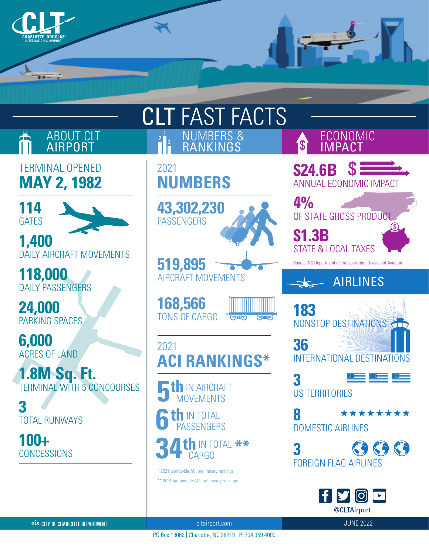

| <b>CLT FAST FACTS</b>                             |                                                                     |                                                                                                                 |
|---------------------------------------------------|---------------------------------------------------------------------|-----------------------------------------------------------------------------------------------------------------|
| ABOUT CLT                                         | NUMBERS & RANKINGS                                                  | ECONOMIC<br>IMPACT                                                                                              |
| <b>TERMINAL OPENED</b><br><b>MAY 2, 1982</b>      | 2021<br><b>NUMBERS</b>                                              | $S =$<br><b>\$24.6B</b><br><b>ANNUAL ECONOMIC IMPACT</b>                                                        |
| 114<br><b>GATES</b>                               | 43,302,230<br><b>PASSENGERS</b>                                     | 4%<br>OF STATE GROSS PRODUCT                                                                                    |
| 1,400<br><b>DAILY AIRCRAFT MOVEMENTS</b>          | 519,895                                                             | <b>\$1.3B</b><br><b>STATE &amp; LOCAL TAXES</b><br>Source: NC Department of Transportation Division of Aviation |
| 118,000<br><b>DAILY PASSENGERS</b>                | <b>AIRCRAFT MOVEMENTS</b>                                           | <b>AIRLINES</b>                                                                                                 |
| 24,000<br>PARKING SPACES                          | 168,566<br><b>TONS OF CARGO</b><br>ज्यान्वि                         | 183<br>NONSTOP DESTINATIONS                                                                                     |
| 6,000<br><b>ACRES OF LAND</b>                     | 2021<br><b>ACI RANKINGS*</b>                                        | 36<br><b>INTERNATIONAL DESTINATIONS</b>                                                                         |
| 1.8M Sq. Ft.<br><b>TERMINAL WITH 5 CONCOURSES</b> | <b>IN AIRCRAFT</b><br><b>OVEMENTS</b>                               | ▝▀▀▏<br><b>US TERRITORIES</b>                                                                                   |
| <b>TOTAL RUNWAYS</b>                              | th IN TOTAL<br><b>PASSENGERS</b>                                    | 8<br><b>********</b><br><b>DOMESTIC AIRLINES</b>                                                                |
| $100 +$<br><b>CONCESSIONS</b>                     | <b>1th</b> in total **<br>* 2021 worldwide ACI preliminary rankings | <b>FOREIGN FLAG AIRLINES</b>                                                                                    |
|                                                   | ** 2021 nationwide ACI preliminary rankings                         | FYOD<br>@CLTAirport                                                                                             |

CO CITY OF CHARLOTTE DEPARTMENT

cltairport.com and the set of the set of the set of the set of the set of the set of the set of the set of the

PO Box 19066 | Charlotte, NC 28219 | P: 704.359.4000